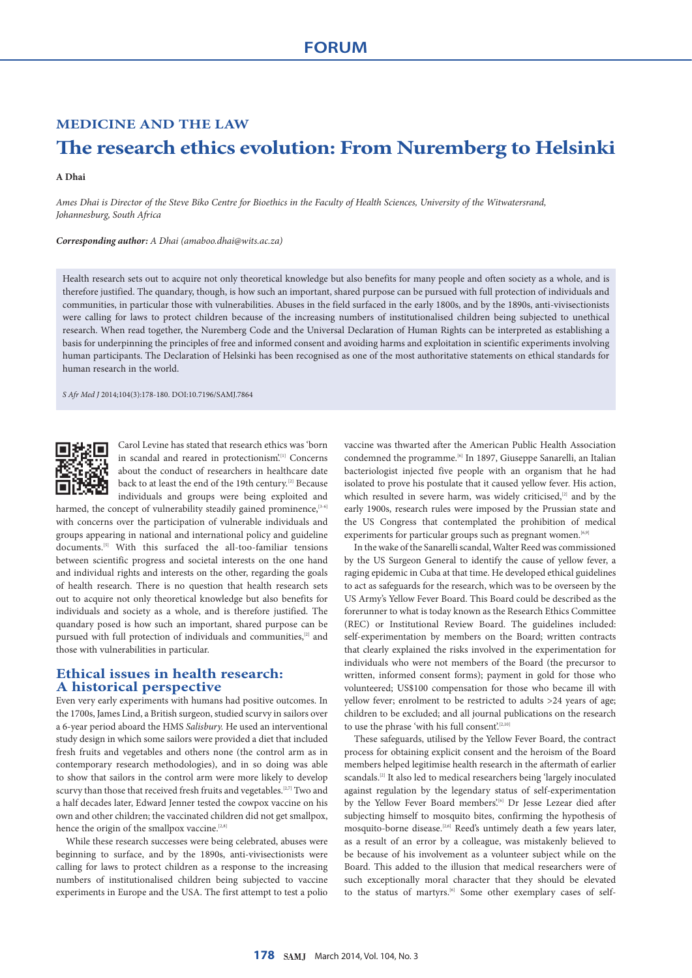## **MEDICINE AND THE LAW**

# **The research ethics evolution: From Nuremberg to Helsinki**

#### **A Dhai**

*Ames Dhai is Director of the Steve Biko Centre for Bioethics in the Faculty of Health Sciences, University of the Witwatersrand, Johannesburg, South Africa*

*Corresponding author: A Dhai [\(amaboo.dhai@wits.ac.za\)](mailto:amaboo.dhai@wits.ac.za)* 

Health research sets out to acquire not only theoretical knowledge but also benefits for many people and often society as a whole, and is therefore justified. The quandary, though, is how such an important, shared purpose can be pursued with full protection of individuals and communities, in particular those with vulnerabilities. Abuses in the field surfaced in the early 1800s, and by the 1890s, anti-vivisectionists were calling for laws to protect children because of the increasing numbers of institutionalised children being subjected to unethical research. When read together, the Nuremberg Code and the Universal Declaration of Human Rights can be interpreted as establishing a basis for underpinning the principles of free and informed consent and avoiding harms and exploitation in scientific experiments involving human participants. The Declaration of Helsinki has been recognised as one of the most authoritative statements on ethical standards for human research in the world.

*S Afr Med J* 2014;104(3):178-180. DOI:10.7196/SAMJ.7864



Carol Levine has stated that research ethics was 'born in scandal and reared in protectionism'.<sup>[1]</sup> Concerns about the conduct of researchers in healthcare date back to at least the end of the 19th century.<sup>[2]</sup> Because individuals and groups were being exploited and

harmed, the concept of vulnerability steadily gained prominence,<sup>[3-6]</sup> with concerns over the participation of vulnerable individuals and groups appearing in national and international policy and guideline documents.<sup>[5]</sup> With this surfaced the all-too-familiar tensions between scientific progress and societal interests on the one hand and individual rights and interests on the other, regarding the goals of health research. There is no question that health research sets out to acquire not only theoretical knowledge but also benefits for individuals and society as a whole, and is therefore justified. The quandary posed is how such an important, shared purpose can be pursued with full protection of individuals and communities,[2] and those with vulnerabilities in particular.

## **Ethical issues in health research: A historical perspective**

Even very early experiments with humans had positive outcomes. In the 1700s, James Lind, a British surgeon, studied scurvy in sailors over a 6-year period aboard the HMS *Salisbury.* He used an interventional study design in which some sailors were provided a diet that included fresh fruits and vegetables and others none (the control arm as in contemporary research methodologies), and in so doing was able to show that sailors in the control arm were more likely to develop scurvy than those that received fresh fruits and vegetables.<sup>[2,7]</sup> Two and a half decades later, Edward Jenner tested the cowpox vaccine on his own and other children; the vaccinated children did not get smallpox, hence the origin of the smallpox vaccine.<sup>[2,8]</sup>

While these research successes were being celebrated, abuses were beginning to surface, and by the 1890s, anti-vivisectionists were calling for laws to protect children as a response to the increasing numbers of institutionalised children being subjected to vaccine experiments in Europe and the USA. The first attempt to test a polio vaccine was thwarted after the American Public Health Association condemned the programme.<sup>[6]</sup> In 1897, Giuseppe Sanarelli, an Italian bacteriologist injected five people with an organism that he had isolated to prove his postulate that it caused yellow fever. His action, which resulted in severe harm, was widely criticised,<sup>[2]</sup> and by the early 1900s, research rules were imposed by the Prussian state and the US Congress that contemplated the prohibition of medical experiments for particular groups such as pregnant women.<sup>[6,9</sup>]

In the wake of the Sanarelli scandal, Walter Reed was commissioned by the US Surgeon General to identify the cause of yellow fever, a raging epidemic in Cuba at that time. He developed ethical guidelines to act as safeguards for the research, which was to be overseen by the US Army's Yellow Fever Board. This Board could be described as the forerunner to what is today known as the Research Ethics Committee (REC) or Institutional Review Board. The guidelines included: self-experimentation by members on the Board; written contracts that clearly explained the risks involved in the experimentation for individuals who were not members of the Board (the precursor to written, informed consent forms); payment in gold for those who volunteered; US\$100 compensation for those who became ill with yellow fever; enrolment to be restricted to adults >24 years of age; children to be excluded; and all journal publications on the research to use the phrase 'with his full consent'.<sup>[2,10</sup>]

These safeguards, utilised by the Yellow Fever Board, the contract process for obtaining explicit consent and the heroism of the Board members helped legitimise health research in the aftermath of earlier scandals.[2] It also led to medical researchers being 'largely inoculated against regulation by the legendary status of self-experimentation by the Yellow Fever Board members'.<sup>[6]</sup> Dr Jesse Lezear died after subjecting himself to mosquito bites, confirming the hypothesis of mosquito-borne disease.[2,6] Reed's untimely death a few years later, as a result of an error by a colleague, was mistakenly believed to be because of his involvement as a volunteer subject while on the Board. This added to the illusion that medical researchers were of such exceptionally moral character that they should be elevated to the status of martyrs.<sup>[6]</sup> Some other exemplary cases of self-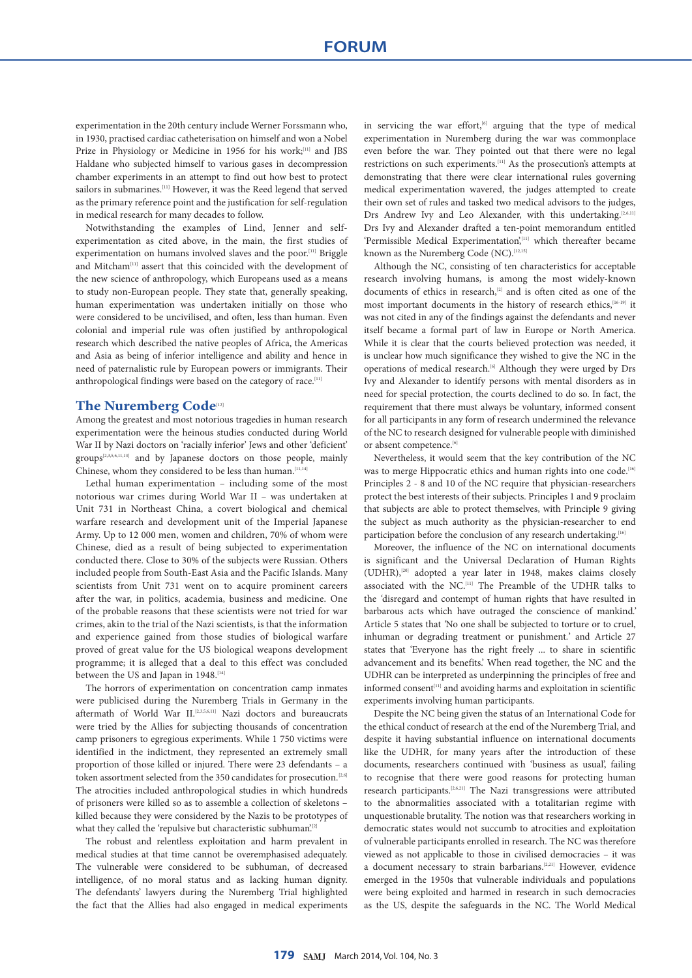experimentation in the 20th century include Werner Forssmann who, in 1930, practised cardiac catheterisation on himself and won a Nobel Prize in Physiology or Medicine in 1956 for his work;<sup>[11]</sup> and JBS Haldane who subjected himself to various gases in decompression chamber experiments in an attempt to find out how best to protect sailors in submarines.<sup>[11]</sup> However, it was the Reed legend that served as the primary reference point and the justification for self-regulation in medical research for many decades to follow.

Notwithstanding the examples of Lind, Jenner and selfexperimentation as cited above, in the main, the first studies of experimentation on humans involved slaves and the poor.<sup>[11]</sup> Briggle and Mitcham<sup>[11]</sup> assert that this coincided with the development of the new science of anthropology, which Europeans used as a means to study non-European people. They state that, generally speaking, human experimentation was undertaken initially on those who were considered to be uncivilised, and often, less than human. Even colonial and imperial rule was often justified by anthropological research which described the native peoples of Africa, the Americas and Asia as being of inferior intelligence and ability and hence in need of paternalistic rule by European powers or immigrants. Their anthropological findings were based on the category of race.<sup>[11]</sup>

### **The Nuremberg Code**[12]

Among the greatest and most notorious tragedies in human research experimentation were the heinous studies conducted during World War II by Nazi doctors on 'racially inferior' Jews and other 'deficient' groups<sup>[2,3,5,6,11,13]</sup> and by Japanese doctors on those people, mainly Chinese, whom they considered to be less than human.<sup>[11,14]</sup>

Lethal human experimentation – including some of the most notorious war crimes during World War II – was undertaken at Unit 731 in Northeast China, a covert biological and chemical warfare research and development unit of the Imperial Japanese Army. Up to 12 000 men, women and children, 70% of whom were Chinese, died as a result of being subjected to experimentation conducted there. Close to 30% of the subjects were Russian. Others included people from South-East Asia and the Pacific Islands. Many scientists from Unit 731 went on to acquire prominent careers after the war, in politics, academia, business and medicine. One of the probable reasons that these scientists were not tried for war crimes, akin to the trial of the Nazi scientists, is that the information and experience gained from those studies of biological warfare proved of great value for the US biological weapons development programme; it is alleged that a deal to this effect was concluded between the US and Japan in 1948.<sup>[14]</sup>

The horrors of experimentation on concentration camp inmates were publicised during the Nuremberg Trials in Germany in the aftermath of World War II. [2,3,5,6,11] Nazi doctors and bureaucrats were tried by the Allies for subjecting thousands of concentration camp prisoners to egregious experiments. While 1 750 victims were identified in the indictment, they represented an extremely small proportion of those killed or injured. There were 23 defendants – a token assortment selected from the 350 candidates for prosecution.<sup>[2,6]</sup> The atrocities included anthropological studies in which hundreds of prisoners were killed so as to assemble a collection of skeletons – killed because they were considered by the Nazis to be prototypes of what they called the 'repulsive but characteristic subhuman'.<sup>[2]</sup>

The robust and relentless exploitation and harm prevalent in medical studies at that time cannot be overemphasised adequately. The vulnerable were considered to be subhuman, of decreased intelligence, of no moral status and as lacking human dignity. The defendants' lawyers during the Nuremberg Trial highlighted the fact that the Allies had also engaged in medical experiments in servicing the war effort, $[6]$  arguing that the type of medical experimentation in Nuremberg during the war was commonplace even before the war. They pointed out that there were no legal restrictions on such experiments.[11] As the prosecution's attempts at demonstrating that there were clear international rules governing medical experimentation wavered, the judges attempted to create their own set of rules and tasked two medical advisors to the judges, Drs Andrew Ivy and Leo Alexander, with this undertaking.<sup>[2,6,11]</sup> Drs Ivy and Alexander drafted a ten-point memorandum entitled 'Permissible Medical Experimentation',<sup>[11]</sup> which thereafter became known as the Nuremberg Code (NC).  $^{[12,15]}$ 

Although the NC, consisting of ten characteristics for acceptable research involving humans, is among the most widely-known documents of ethics in research,<sup>[2]</sup> and is often cited as one of the most important documents in the history of research ethics, [16-19] it was not cited in any of the findings against the defendants and never itself became a formal part of law in Europe or North America. While it is clear that the courts believed protection was needed, it is unclear how much significance they wished to give the NC in the operations of medical research.<sup>[6]</sup> Although they were urged by Drs Ivy and Alexander to identify persons with mental disorders as in need for special protection, the courts declined to do so. In fact, the requirement that there must always be voluntary, informed consent for all participants in any form of research undermined the relevance of the NC to research designed for vulnerable people with diminished or absent competence.<sup>[6]</sup>

Nevertheless, it would seem that the key contribution of the NC was to merge Hippocratic ethics and human rights into one code.<sup>[16]</sup> Principles 2 - 8 and 10 of the NC require that physician-researchers protect the best interests of their subjects. Principles 1 and 9 proclaim that subjects are able to protect themselves, with Principle 9 giving the subject as much authority as the physician-researcher to end participation before the conclusion of any research undertaking.<sup>[16]</sup>

Moreover, the influence of the NC on international documents is significant and the Universal Declaration of Human Rights (UDHR),[20] adopted a year later in 1948, makes claims closely associated with the NC.[11] The Preamble of the UDHR talks to the *'*disregard and contempt of human rights that have resulted in barbarous acts which have outraged the conscience of mankind*.'*  Article 5 states that *'*No one shall be subjected to torture or to cruel, inhuman or degrading treatment or punishment*.*' and Article 27 states that 'Everyone has the right freely ... to share in scientific advancement and its benefits.' When read together, the NC and the UDHR can be interpreted as underpinning the principles of free and informed consent<sup>[11]</sup> and avoiding harms and exploitation in scientific experiments involving human participants.

Despite the NC being given the status of an International Code for the ethical conduct of research at the end of the Nuremberg Trial, and despite it having substantial influence on international documents like the UDHR, for many years after the introduction of these documents, researchers continued with 'business as usual', failing to recognise that there were good reasons for protecting human research participants.[2,6,21] The Nazi transgressions were attributed to the abnormalities associated with a totalitarian regime with unquestionable brutality. The notion was that researchers working in democratic states would not succumb to atrocities and exploitation of vulnerable participants enrolled in research. The NC was therefore viewed as not applicable to those in civilised democracies – it was a document necessary to strain barbarians.<sup>[2,21]</sup> However, evidence emerged in the 1950s that vulnerable individuals and populations were being exploited and harmed in research in such democracies as the US, despite the safeguards in the NC. The World Medical